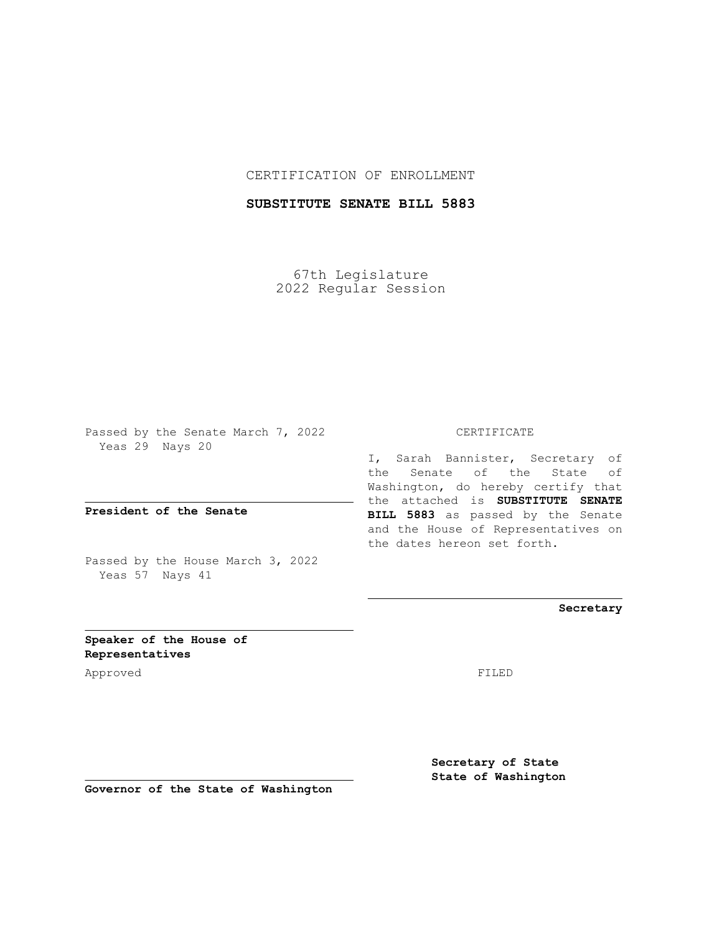## CERTIFICATION OF ENROLLMENT

## **SUBSTITUTE SENATE BILL 5883**

67th Legislature 2022 Regular Session

Passed by the Senate March 7, 2022 Yeas 29 Nays 20

**President of the Senate**

Passed by the House March 3, 2022 Yeas 57 Nays 41

CERTIFICATE

I, Sarah Bannister, Secretary of the Senate of the State of Washington, do hereby certify that the attached is **SUBSTITUTE SENATE BILL 5883** as passed by the Senate and the House of Representatives on the dates hereon set forth.

**Secretary**

**Speaker of the House of Representatives**

Approved FILED

**Secretary of State State of Washington**

**Governor of the State of Washington**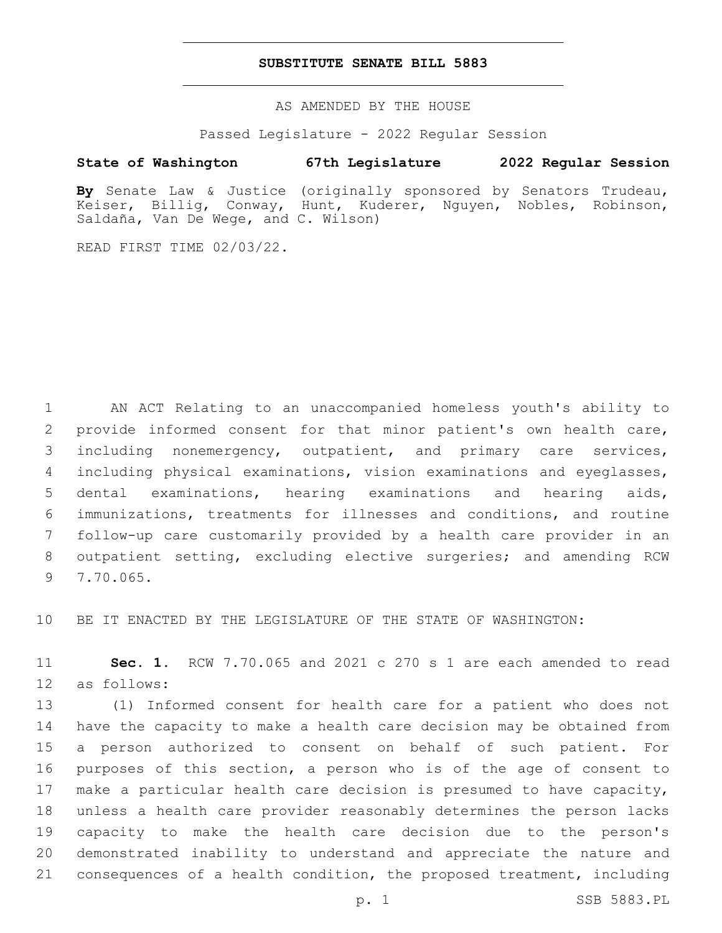## **SUBSTITUTE SENATE BILL 5883**

AS AMENDED BY THE HOUSE

Passed Legislature - 2022 Regular Session

## **State of Washington 67th Legislature 2022 Regular Session**

**By** Senate Law & Justice (originally sponsored by Senators Trudeau, Keiser, Billig, Conway, Hunt, Kuderer, Nguyen, Nobles, Robinson, Saldaña, Van De Wege, and C. Wilson)

READ FIRST TIME 02/03/22.

 AN ACT Relating to an unaccompanied homeless youth's ability to provide informed consent for that minor patient's own health care, including nonemergency, outpatient, and primary care services, including physical examinations, vision examinations and eyeglasses, dental examinations, hearing examinations and hearing aids, immunizations, treatments for illnesses and conditions, and routine follow-up care customarily provided by a health care provider in an outpatient setting, excluding elective surgeries; and amending RCW 9 7.70.065.

BE IT ENACTED BY THE LEGISLATURE OF THE STATE OF WASHINGTON:

 **Sec. 1.** RCW 7.70.065 and 2021 c 270 s 1 are each amended to read 12 as follows:

 (1) Informed consent for health care for a patient who does not have the capacity to make a health care decision may be obtained from a person authorized to consent on behalf of such patient. For purposes of this section, a person who is of the age of consent to make a particular health care decision is presumed to have capacity, unless a health care provider reasonably determines the person lacks capacity to make the health care decision due to the person's demonstrated inability to understand and appreciate the nature and consequences of a health condition, the proposed treatment, including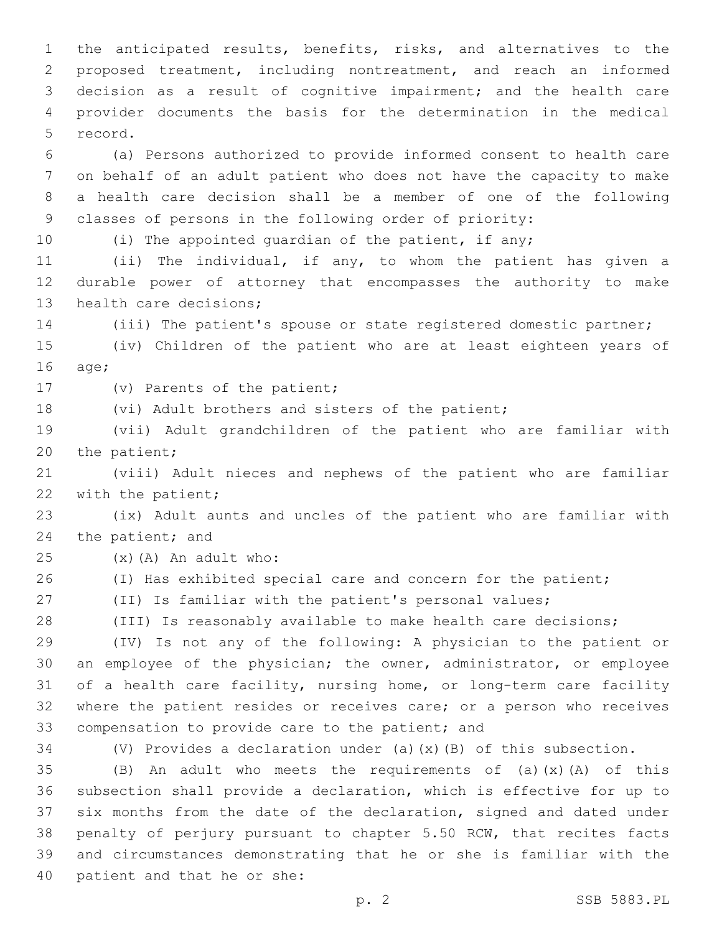the anticipated results, benefits, risks, and alternatives to the proposed treatment, including nontreatment, and reach an informed decision as a result of cognitive impairment; and the health care provider documents the basis for the determination in the medical 5 record.

 (a) Persons authorized to provide informed consent to health care on behalf of an adult patient who does not have the capacity to make a health care decision shall be a member of one of the following classes of persons in the following order of priority:

10 (i) The appointed quardian of the patient, if any;

 (ii) The individual, if any, to whom the patient has given a durable power of attorney that encompasses the authority to make 13 health care decisions;

(iii) The patient's spouse or state registered domestic partner;

 (iv) Children of the patient who are at least eighteen years of 16 age;

17 (v) Parents of the patient;

18 (vi) Adult brothers and sisters of the patient;

 (vii) Adult grandchildren of the patient who are familiar with 20 the patient;

 (viii) Adult nieces and nephews of the patient who are familiar 22 with the patient;

 (ix) Adult aunts and uncles of the patient who are familiar with 24 the patient; and

 $(25)(A)$  An adult who:

26 (I) Has exhibited special care and concern for the patient;

(II) Is familiar with the patient's personal values;

(III) Is reasonably available to make health care decisions;

 (IV) Is not any of the following: A physician to the patient or an employee of the physician; the owner, administrator, or employee of a health care facility, nursing home, or long-term care facility where the patient resides or receives care; or a person who receives 33 compensation to provide care to the patient; and

(V) Provides a declaration under (a)(x)(B) of this subsection.

 $(B)$  An adult who meets the requirements of (a)(x)(A) of this subsection shall provide a declaration, which is effective for up to six months from the date of the declaration, signed and dated under penalty of perjury pursuant to chapter 5.50 RCW, that recites facts and circumstances demonstrating that he or she is familiar with the 40 patient and that he or she: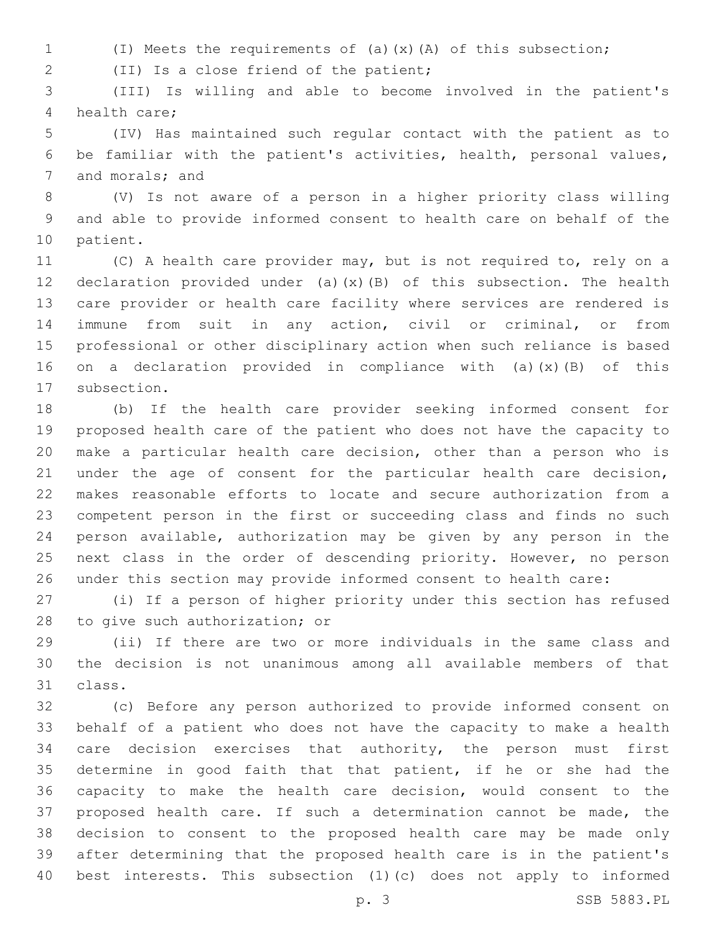(I) Meets the requirements of (a)(x)(A) of this subsection;

(II) Is a close friend of the patient;2

 (III) Is willing and able to become involved in the patient's 4 health care:

 (IV) Has maintained such regular contact with the patient as to be familiar with the patient's activities, health, personal values, 7 and morals; and

 (V) Is not aware of a person in a higher priority class willing and able to provide informed consent to health care on behalf of the 10 patient.

 (C) A health care provider may, but is not required to, rely on a declaration provided under (a)(x)(B) of this subsection. The health care provider or health care facility where services are rendered is immune from suit in any action, civil or criminal, or from professional or other disciplinary action when such reliance is based on a declaration provided in compliance with (a)(x)(B) of this 17 subsection.

 (b) If the health care provider seeking informed consent for proposed health care of the patient who does not have the capacity to make a particular health care decision, other than a person who is under the age of consent for the particular health care decision, makes reasonable efforts to locate and secure authorization from a competent person in the first or succeeding class and finds no such person available, authorization may be given by any person in the next class in the order of descending priority. However, no person under this section may provide informed consent to health care:

 (i) If a person of higher priority under this section has refused 28 to give such authorization; or

 (ii) If there are two or more individuals in the same class and the decision is not unanimous among all available members of that 31 class.

 (c) Before any person authorized to provide informed consent on behalf of a patient who does not have the capacity to make a health 34 care decision exercises that authority, the person must first determine in good faith that that patient, if he or she had the capacity to make the health care decision, would consent to the proposed health care. If such a determination cannot be made, the decision to consent to the proposed health care may be made only after determining that the proposed health care is in the patient's best interests. This subsection (1)(c) does not apply to informed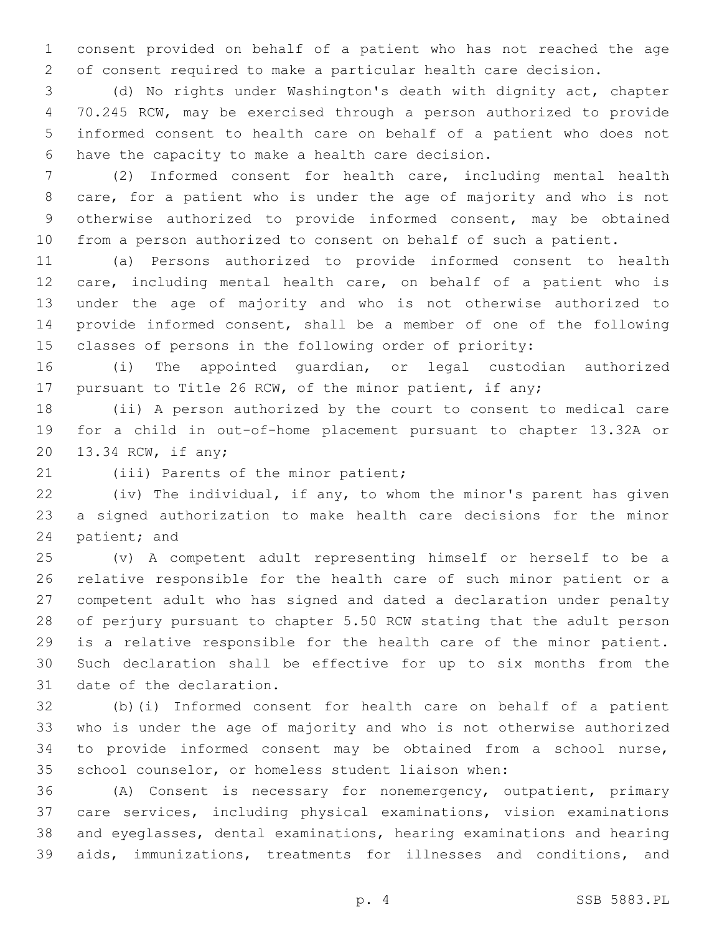consent provided on behalf of a patient who has not reached the age of consent required to make a particular health care decision.

 (d) No rights under Washington's death with dignity act, chapter 70.245 RCW, may be exercised through a person authorized to provide informed consent to health care on behalf of a patient who does not 6 have the capacity to make a health care decision.

 (2) Informed consent for health care, including mental health care, for a patient who is under the age of majority and who is not otherwise authorized to provide informed consent, may be obtained from a person authorized to consent on behalf of such a patient.

 (a) Persons authorized to provide informed consent to health care, including mental health care, on behalf of a patient who is under the age of majority and who is not otherwise authorized to provide informed consent, shall be a member of one of the following classes of persons in the following order of priority:

 (i) The appointed guardian, or legal custodian authorized pursuant to Title 26 RCW, of the minor patient, if any;

 (ii) A person authorized by the court to consent to medical care for a child in out-of-home placement pursuant to chapter 13.32A or 20 13.34 RCW, if any;

21 (iii) Parents of the minor patient;

 (iv) The individual, if any, to whom the minor's parent has given a signed authorization to make health care decisions for the minor 24 patient; and

 (v) A competent adult representing himself or herself to be a relative responsible for the health care of such minor patient or a competent adult who has signed and dated a declaration under penalty of perjury pursuant to chapter 5.50 RCW stating that the adult person is a relative responsible for the health care of the minor patient. Such declaration shall be effective for up to six months from the 31 date of the declaration.

 (b)(i) Informed consent for health care on behalf of a patient who is under the age of majority and who is not otherwise authorized to provide informed consent may be obtained from a school nurse, school counselor, or homeless student liaison when:

 (A) Consent is necessary for nonemergency, outpatient, primary care services, including physical examinations, vision examinations and eyeglasses, dental examinations, hearing examinations and hearing aids, immunizations, treatments for illnesses and conditions, and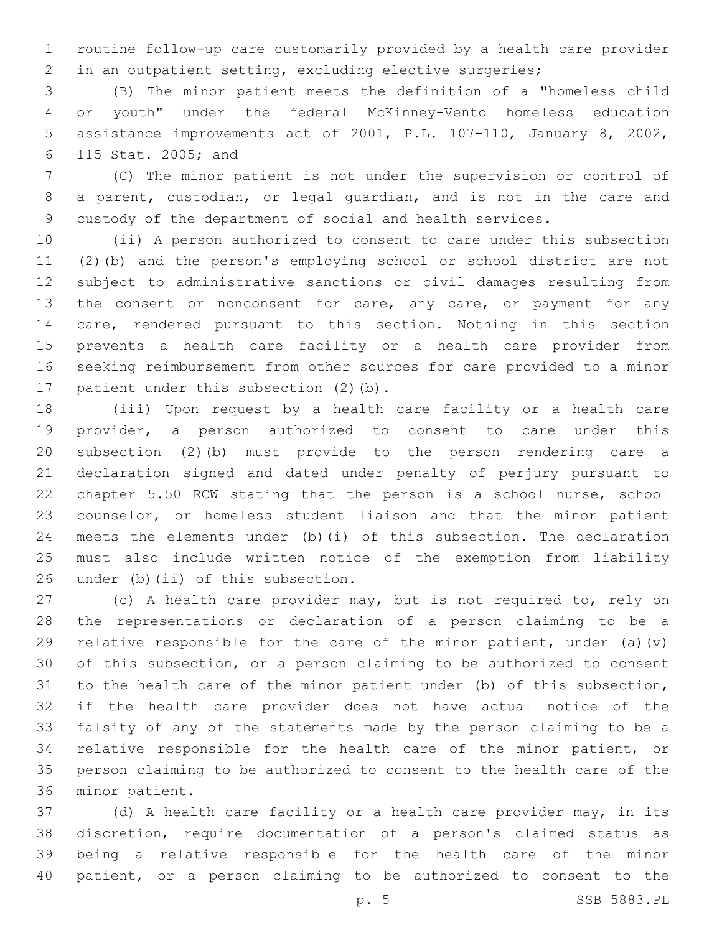routine follow-up care customarily provided by a health care provider in an outpatient setting, excluding elective surgeries;

 (B) The minor patient meets the definition of a "homeless child or youth" under the federal McKinney-Vento homeless education assistance improvements act of 2001, P.L. 107-110, January 8, 2002, 115 Stat. 2005; and6

 (C) The minor patient is not under the supervision or control of a parent, custodian, or legal guardian, and is not in the care and custody of the department of social and health services.

 (ii) A person authorized to consent to care under this subsection (2)(b) and the person's employing school or school district are not subject to administrative sanctions or civil damages resulting from 13 the consent or nonconsent for care, any care, or payment for any care, rendered pursuant to this section. Nothing in this section prevents a health care facility or a health care provider from seeking reimbursement from other sources for care provided to a minor 17 patient under this subsection (2)(b).

 (iii) Upon request by a health care facility or a health care provider, a person authorized to consent to care under this subsection (2)(b) must provide to the person rendering care a declaration signed and dated under penalty of perjury pursuant to chapter 5.50 RCW stating that the person is a school nurse, school counselor, or homeless student liaison and that the minor patient meets the elements under (b)(i) of this subsection. The declaration must also include written notice of the exemption from liability 26 under (b)(ii) of this subsection.

 (c) A health care provider may, but is not required to, rely on the representations or declaration of a person claiming to be a 29 relative responsible for the care of the minor patient, under (a)(v) of this subsection, or a person claiming to be authorized to consent to the health care of the minor patient under (b) of this subsection, if the health care provider does not have actual notice of the falsity of any of the statements made by the person claiming to be a relative responsible for the health care of the minor patient, or person claiming to be authorized to consent to the health care of the 36 minor patient.

 (d) A health care facility or a health care provider may, in its discretion, require documentation of a person's claimed status as being a relative responsible for the health care of the minor patient, or a person claiming to be authorized to consent to the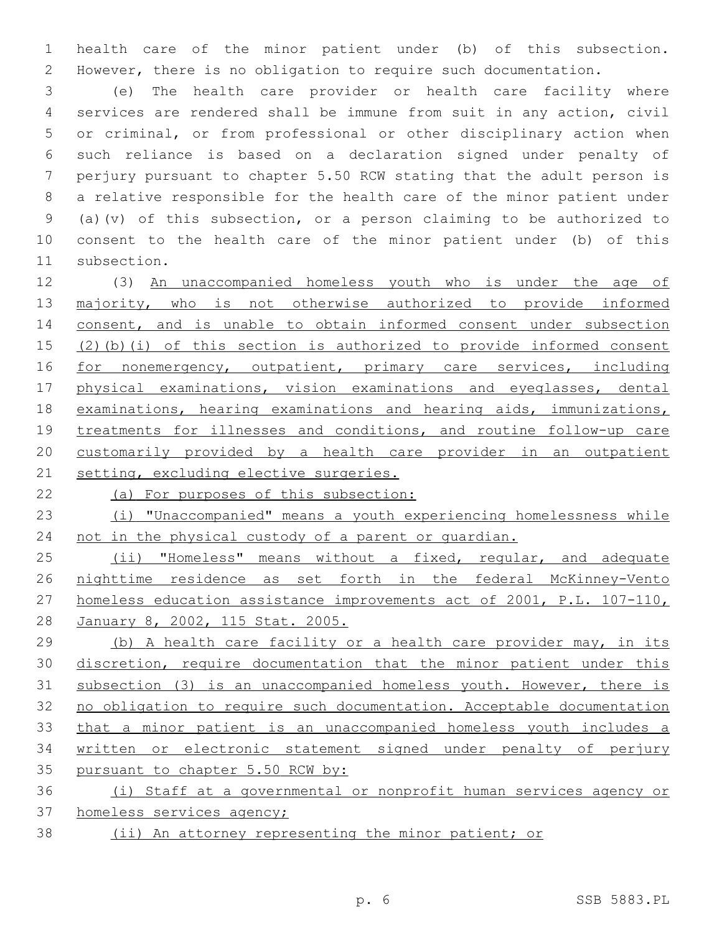health care of the minor patient under (b) of this subsection. However, there is no obligation to require such documentation.

 (e) The health care provider or health care facility where services are rendered shall be immune from suit in any action, civil or criminal, or from professional or other disciplinary action when such reliance is based on a declaration signed under penalty of perjury pursuant to chapter 5.50 RCW stating that the adult person is a relative responsible for the health care of the minor patient under (a)(v) of this subsection, or a person claiming to be authorized to consent to the health care of the minor patient under (b) of this 11 subsection.

 (3) An unaccompanied homeless youth who is under the age of 13 majority, who is not otherwise authorized to provide informed 14 consent, and is unable to obtain informed consent under subsection (2)(b)(i) of this section is authorized to provide informed consent 16 for nonemergency, outpatient, primary care services, including physical examinations, vision examinations and eyeglasses, dental examinations, hearing examinations and hearing aids, immunizations, treatments for illnesses and conditions, and routine follow-up care customarily provided by a health care provider in an outpatient 21 setting, excluding elective surgeries.

(a) For purposes of this subsection:

 (i) "Unaccompanied" means a youth experiencing homelessness while 24 not in the physical custody of a parent or quardian.

25 (ii) "Homeless" means without a fixed, regular, and adequate nighttime residence as set forth in the federal McKinney-Vento homeless education assistance improvements act of 2001, P.L. 107-110, January 8, 2002, 115 Stat. 2005.

 (b) A health care facility or a health care provider may, in its discretion, require documentation that the minor patient under this subsection (3) is an unaccompanied homeless youth. However, there is no obligation to require such documentation. Acceptable documentation that a minor patient is an unaccompanied homeless youth includes a written or electronic statement signed under penalty of perjury 35 pursuant to chapter 5.50 RCW by:

 (i) Staff at a governmental or nonprofit human services agency or homeless services agency;

(ii) An attorney representing the minor patient; or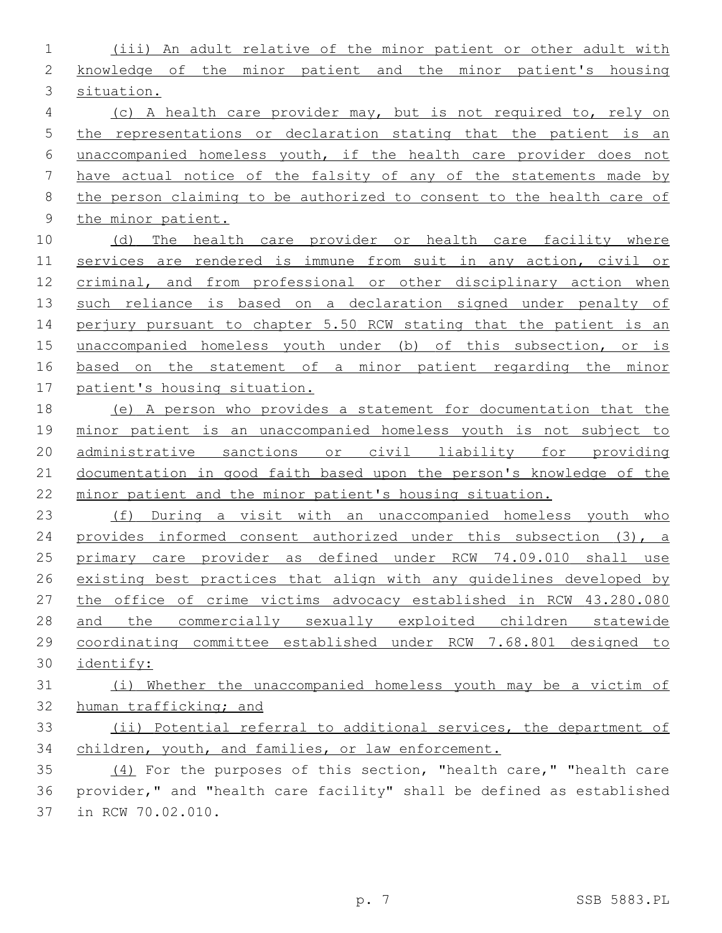(iii) An adult relative of the minor patient or other adult with knowledge of the minor patient and the minor patient's housing situation. (c) A health care provider may, but is not required to, rely on the representations or declaration stating that the patient is an unaccompanied homeless youth, if the health care provider does not

 have actual notice of the falsity of any of the statements made by 8 the person claiming to be authorized to consent to the health care of the minor patient.

10 (d) The health care provider or health care facility where services are rendered is immune from suit in any action, civil or criminal, and from professional or other disciplinary action when such reliance is based on a declaration signed under penalty of 14 perjury pursuant to chapter 5.50 RCW stating that the patient is an unaccompanied homeless youth under (b) of this subsection, or is based on the statement of a minor patient regarding the minor patient's housing situation.

 (e) A person who provides a statement for documentation that the minor patient is an unaccompanied homeless youth is not subject to administrative sanctions or civil liability for providing documentation in good faith based upon the person's knowledge of the minor patient and the minor patient's housing situation.

 (f) During a visit with an unaccompanied homeless youth who provides informed consent authorized under this subsection (3), a primary care provider as defined under RCW 74.09.010 shall use existing best practices that align with any guidelines developed by the office of crime victims advocacy established in RCW 43.280.080 and the commercially sexually exploited children statewide coordinating committee established under RCW 7.68.801 designed to identify:

 (i) Whether the unaccompanied homeless youth may be a victim of human trafficking; and

 (ii) Potential referral to additional services, the department of children, youth, and families, or law enforcement.

 (4) For the purposes of this section, "health care," "health care provider," and "health care facility" shall be defined as established 37 in RCW 70.02.010.